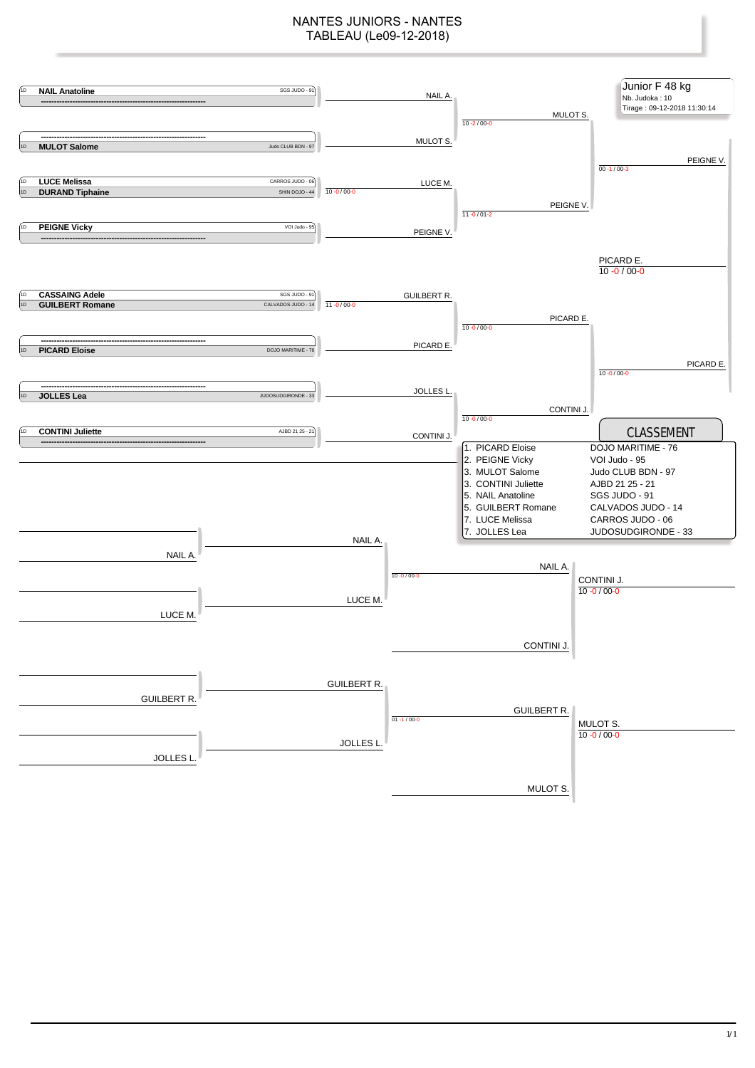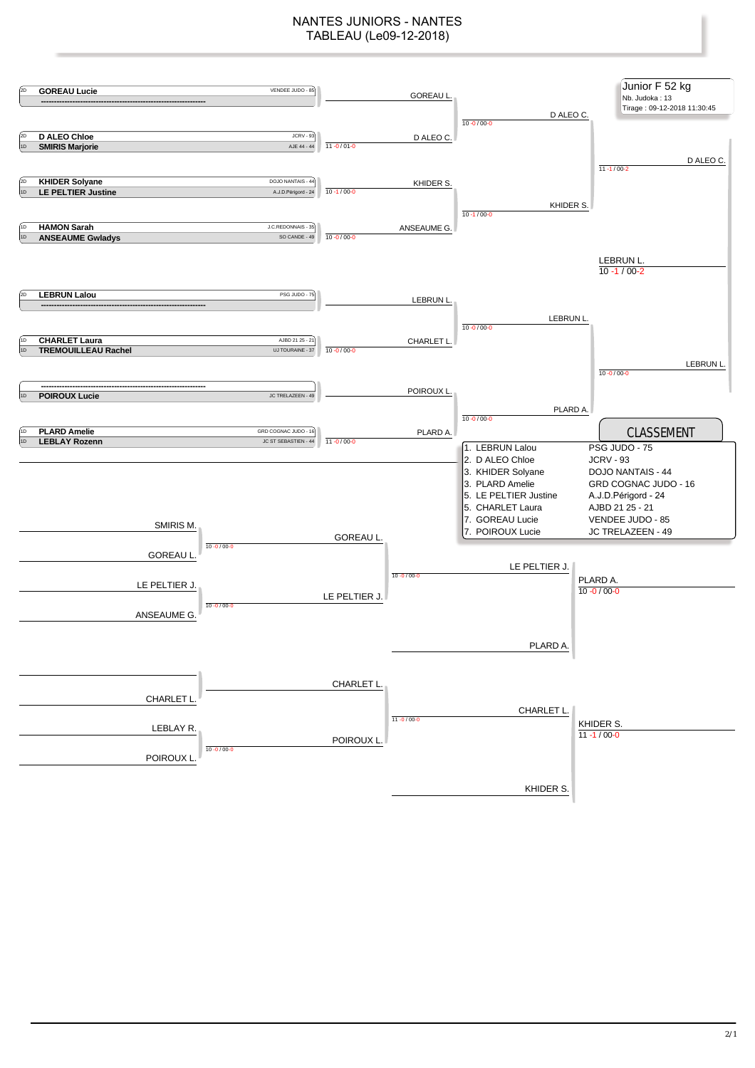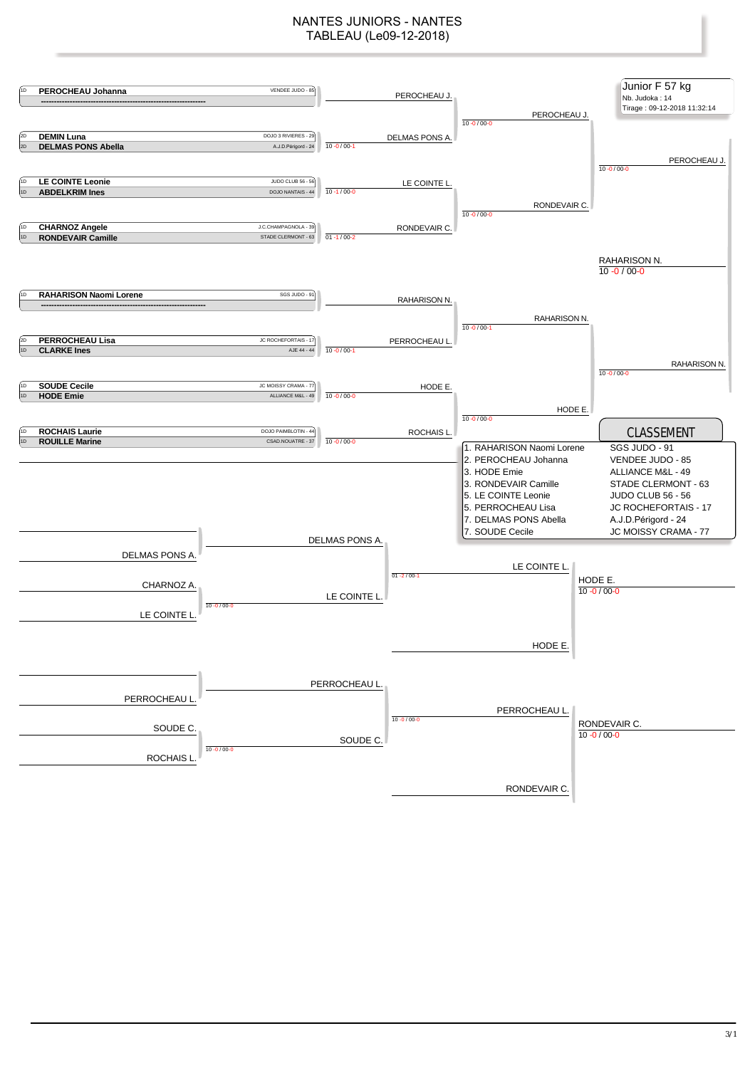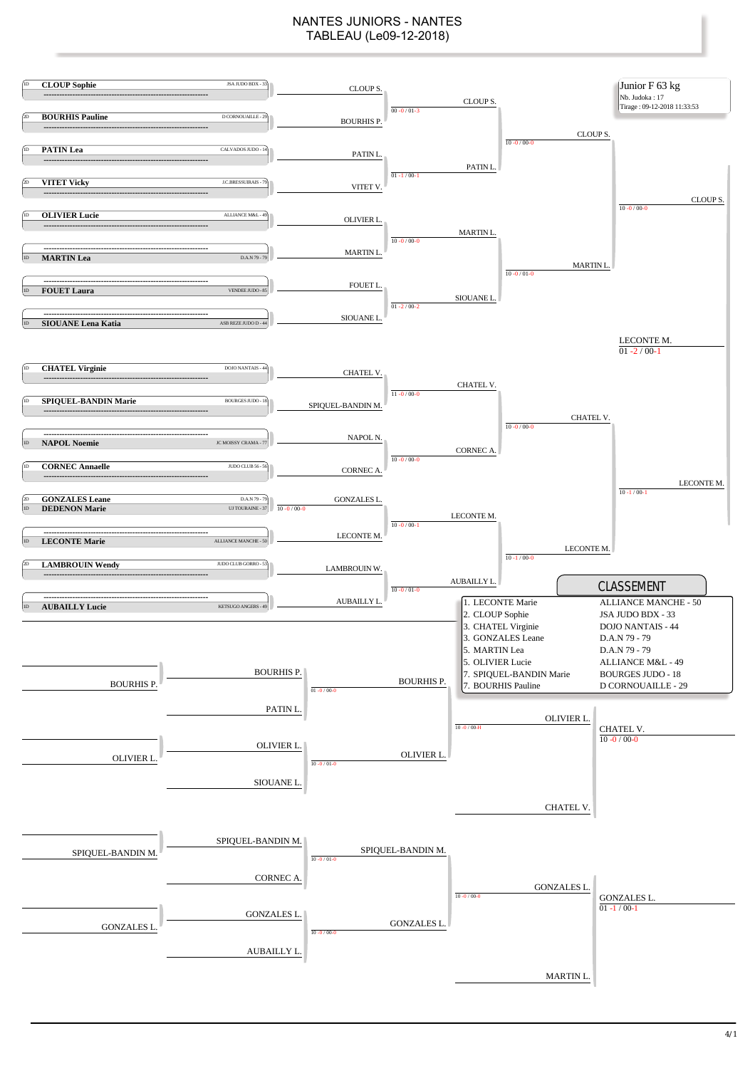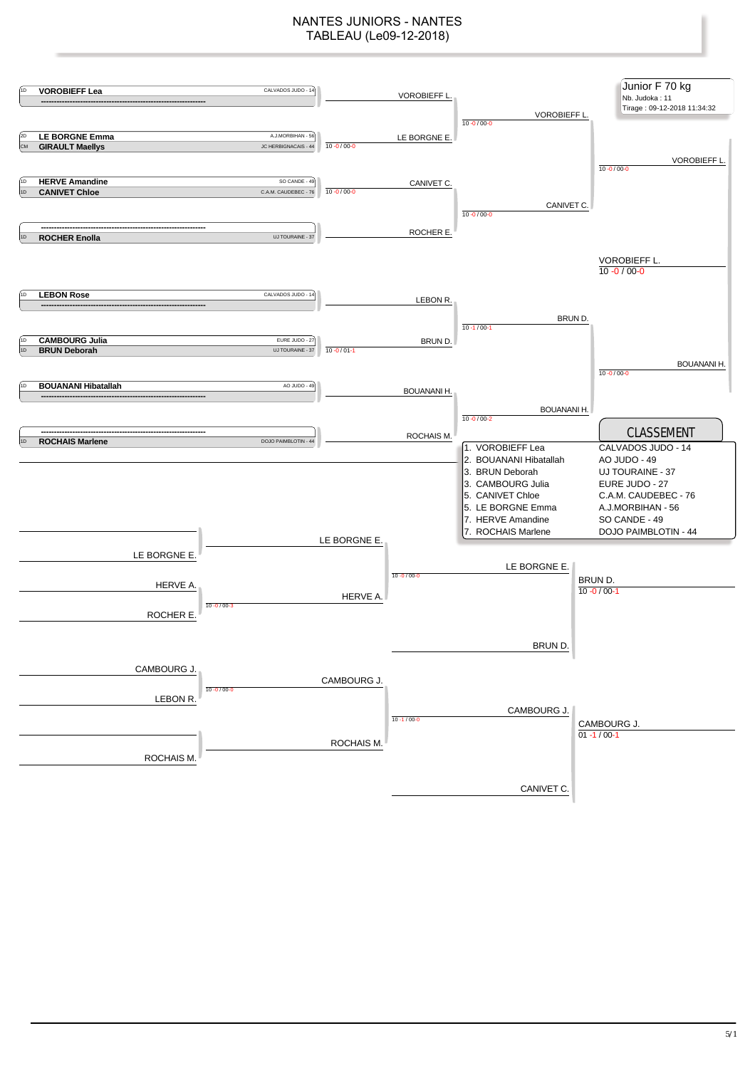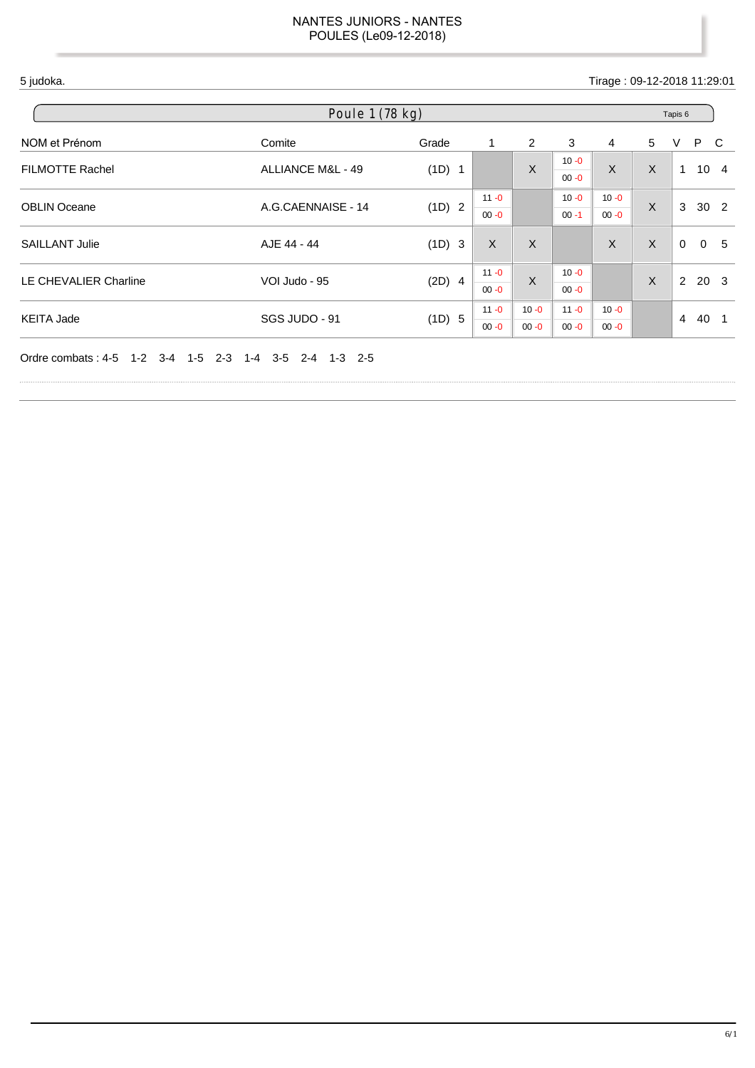5 judoka. Tirage : 09-12-2018 11:29:01

| Poule 1 (78 kg)        |                    |          |                      |                      |                      |                      | Tapis 6 |                |                 |                |  |
|------------------------|--------------------|----------|----------------------|----------------------|----------------------|----------------------|---------|----------------|-----------------|----------------|--|
| NOM et Prénom          | Comite             | Grade    | 1                    | 2                    | 3                    | 4                    | 5       | V              | P C             |                |  |
| <b>FILMOTTE Rachel</b> | ALLIANCE M&L - 49  | (1D) 1   |                      | $\sf X$              | $10 - 0$<br>$00 - 0$ | X                    | X       | $\mathbf 1$    | 10 <sub>4</sub> |                |  |
| <b>OBLIN Oceane</b>    | A.G.CAENNAISE - 14 | (1D) 2   | $11 - 0$<br>$00 - 0$ |                      | $10 - 0$<br>$00 - 1$ | $10 - 0$<br>$00 - 0$ | X       | 3              | 30 <sub>2</sub> |                |  |
| <b>SAILLANT Julie</b>  | AJE 44 - 44        | (1D) 3   | $\sf X$              | $\sf X$              |                      | X                    | X       | $\Omega$       |                 | 0 <sub>5</sub> |  |
| LE CHEVALIER Charline  | VOI Judo - 95      | $(2D)$ 4 | $11 - 0$<br>$00 - 0$ | $\sf X$              | $10 - 0$<br>$00 - 0$ |                      | X       | $\overline{2}$ | 20 <sub>3</sub> |                |  |
| <b>KEITA Jade</b>      | SGS JUDO - 91      | (1D) 5   | $11 - 0$<br>$00 - 0$ | $10 - 0$<br>$00 - 0$ | $11 - 0$<br>$00 - 0$ | $10 - 0$<br>$00 - 0$ |         | $\overline{4}$ | 40 1            |                |  |

Ordre combats : 4-5 1-2 3-4 1-5 2-3 1-4 3-5 2-4 1-3 2-5